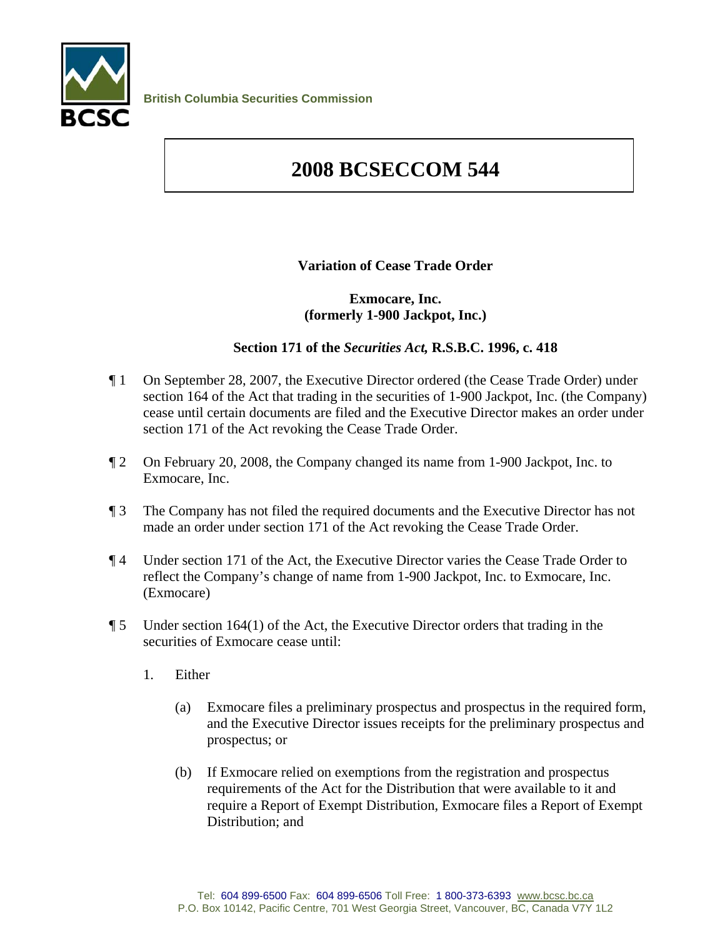

## **2008 BCSECCOM 544**

## **Variation of Cease Trade Order**

## **Exmocare, Inc. (formerly 1-900 Jackpot, Inc.)**

## **Section 171 of the** *Securities Act,* **R.S.B.C. 1996, c. 418**

- ¶ 1 On September 28, 2007, the Executive Director ordered (the Cease Trade Order) under section 164 of the Act that trading in the securities of 1-900 Jackpot, Inc. (the Company) cease until certain documents are filed and the Executive Director makes an order under section 171 of the Act revoking the Cease Trade Order.
- ¶ 2 On February 20, 2008, the Company changed its name from 1-900 Jackpot, Inc. to Exmocare, Inc.
- ¶ 3 The Company has not filed the required documents and the Executive Director has not made an order under section 171 of the Act revoking the Cease Trade Order.
- ¶ 4 Under section 171 of the Act, the Executive Director varies the Cease Trade Order to reflect the Company's change of name from 1-900 Jackpot, Inc. to Exmocare, Inc. (Exmocare)
- $\P$  5 Under section 164(1) of the Act, the Executive Director orders that trading in the securities of Exmocare cease until:
	- 1. Either
		- (a) Exmocare files a preliminary prospectus and prospectus in the required form, and the Executive Director issues receipts for the preliminary prospectus and prospectus; or
		- (b) If Exmocare relied on exemptions from the registration and prospectus requirements of the Act for the Distribution that were available to it and require a Report of Exempt Distribution, Exmocare files a Report of Exempt Distribution; and